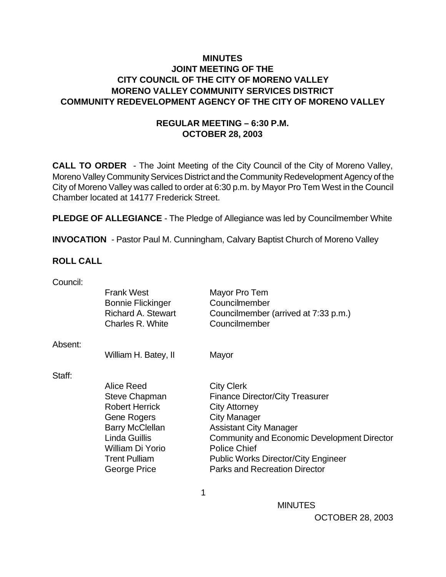### **MINUTES JOINT MEETING OF THE CITY COUNCIL OF THE CITY OF MORENO VALLEY MORENO VALLEY COMMUNITY SERVICES DISTRICT COMMUNITY REDEVELOPMENT AGENCY OF THE CITY OF MORENO VALLEY**

## **REGULAR MEETING – 6:30 P.M. OCTOBER 28, 2003**

**CALL TO ORDER** - The Joint Meeting of the City Council of the City of Moreno Valley, Moreno Valley Community Services District and the Community Redevelopment Agency of the City of Moreno Valley was called to order at 6:30 p.m. by Mayor Pro Tem West in the Council Chamber located at 14177 Frederick Street.

**PLEDGE OF ALLEGIANCE** - The Pledge of Allegiance was led by Councilmember White

**INVOCATION** - Pastor Paul M. Cunningham, Calvary Baptist Church of Moreno Valley

#### **ROLL CALL**

| Council: |                           |                                                    |
|----------|---------------------------|----------------------------------------------------|
|          | <b>Frank West</b>         | Mayor Pro Tem                                      |
|          | <b>Bonnie Flickinger</b>  | Councilmember                                      |
|          | <b>Richard A. Stewart</b> | Councilmember (arrived at 7:33 p.m.)               |
|          | Charles R. White          | Councilmember                                      |
| Absent:  |                           |                                                    |
|          | William H. Batey, II      | Mayor                                              |
| Staff:   |                           |                                                    |
|          | Alice Reed                | <b>City Clerk</b>                                  |
|          | <b>Steve Chapman</b>      | <b>Finance Director/City Treasurer</b>             |
|          | <b>Robert Herrick</b>     | <b>City Attorney</b>                               |
|          | <b>Gene Rogers</b>        | <b>City Manager</b>                                |
|          | <b>Barry McClellan</b>    | <b>Assistant City Manager</b>                      |
|          | <b>Linda Guillis</b>      | <b>Community and Economic Development Director</b> |
|          | William Di Yorio          | <b>Police Chief</b>                                |
|          | <b>Trent Pulliam</b>      | <b>Public Works Director/City Engineer</b>         |
|          | George Price              | <b>Parks and Recreation Director</b>               |
|          |                           |                                                    |

 $\sim$  1

**MINUTES** OCTOBER 28, 2003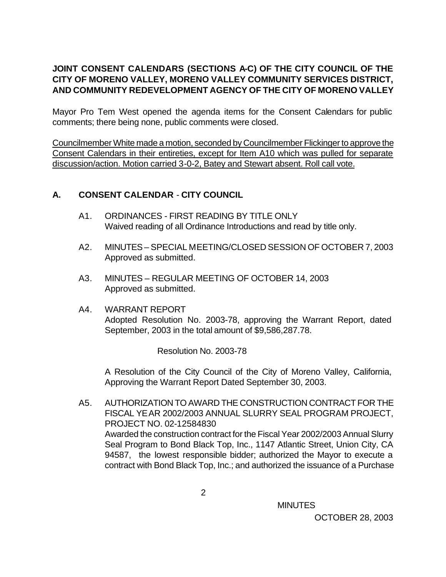# **JOINT CONSENT CALENDARS (SECTIONS A-C) OF THE CITY COUNCIL OF THE CITY OF MORENO VALLEY, MORENO VALLEY COMMUNITY SERVICES DISTRICT, AND COMMUNITY REDEVELOPMENT AGENCY OF THE CITY OF MORENO VALLEY**

Mayor Pro Tem West opened the agenda items for the Consent Calendars for public comments; there being none, public comments were closed.

Councilmember White made a motion, seconded by Councilmember Flickinger to approve the Consent Calendars in their entireties, except for Item A10 which was pulled for separate discussion/action. Motion carried 3-0-2, Batey and Stewart absent. Roll call vote.

## **A. CONSENT CALENDAR** - **CITY COUNCIL**

- A1. ORDINANCES FIRST READING BY TITLE ONLY Waived reading of all Ordinance Introductions and read by title only.
- A2. MINUTES SPECIAL MEETING/CLOSED SESSION OF OCTOBER 7, 2003 Approved as submitted.
- A3. MINUTES REGULAR MEETING OF OCTOBER 14, 2003 Approved as submitted.
- A4. WARRANT REPORT Adopted Resolution No. 2003-78, approving the Warrant Report, dated September, 2003 in the total amount of \$9,586,287.78.

Resolution No. 2003-78

A Resolution of the City Council of the City of Moreno Valley, California, Approving the Warrant Report Dated September 30, 2003.

A5. AUTHORIZATION TO AWARD THE CONSTRUCTION CONTRACT FOR THE FISCAL YEAR 2002/2003 ANNUAL SLURRY SEAL PROGRAM PROJECT, PROJECT NO. 02-12584830 Awarded the construction contract for the Fiscal Year 2002/2003 Annual Slurry Seal Program to Bond Black Top, Inc., 1147 Atlantic Street, Union City, CA 94587, the lowest responsible bidder; authorized the Mayor to execute a contract with Bond Black Top, Inc.; and authorized the issuance of a Purchase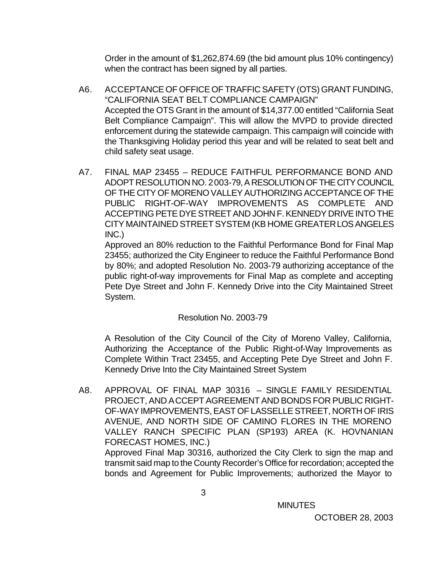Order in the amount of \$1,262,874.69 (the bid amount plus 10% contingency) when the contract has been signed by all parties.

- A6. ACCEPTANCE OF OFFICE OF TRAFFIC SAFETY (OTS) GRANT FUNDING, "CALIFORNIA SEAT BELT COMPLIANCE CAMPAIGN" Accepted the OTS Grant in the amount of \$14,377.00 entitled "California Seat Belt Compliance Campaign". This will allow the MVPD to provide directed enforcement during the statewide campaign. This campaign will coincide with the Thanksgiving Holiday period this year and will be related to seat belt and child safety seat usage.
- A7. FINAL MAP 23455 REDUCE FAITHFUL PERFORMANCE BOND AND ADOPT RESOLUTION NO. 2003-79, A RESOLUTION OF THE CITY COUNCIL OF THE CITY OF MORENO VALLEY AUTHORIZING ACCEPTANCE OF THE PUBLIC RIGHT-OF-WAY IMPROVEMENTS AS COMPLETE AND ACCEPTING PETE DYE STREET AND JOHN F. KENNEDY DRIVE INTO THE CITY MAINTAINED STREET SYSTEM (KB HOME GREATER LOS ANGELES INC.)

Approved an 80% reduction to the Faithful Performance Bond for Final Map 23455; authorized the City Engineer to reduce the Faithful Performance Bond by 80%; and adopted Resolution No. 2003-79 authorizing acceptance of the public right-of-way improvements for Final Map as complete and accepting Pete Dye Street and John F. Kennedy Drive into the City Maintained Street System.

### Resolution No. 2003-79

A Resolution of the City Council of the City of Moreno Valley, California, Authorizing the Acceptance of the Public Right-of-Way Improvements as Complete Within Tract 23455, and Accepting Pete Dye Street and John F. Kennedy Drive Into the City Maintained Street System

A8. APPROVAL OF FINAL MAP 30316 – SINGLE FAMILY RESIDENTIAL PROJECT, AND ACCEPT AGREEMENT AND BONDS FOR PUBLIC RIGHT-OF-WAY IMPROVEMENTS, EAST OF LASSELLE STREET, NORTH OF IRIS AVENUE, AND NORTH SIDE OF CAMINO FLORES IN THE MORENO VALLEY RANCH SPECIFIC PLAN (SP193) AREA (K. HOVNANIAN FORECAST HOMES, INC.)

Approved Final Map 30316, authorized the City Clerk to sign the map and transmit said map to the County Recorder's Office for recordation; accepted the bonds and Agreement for Public Improvements; authorized the Mayor to

**MINUTES**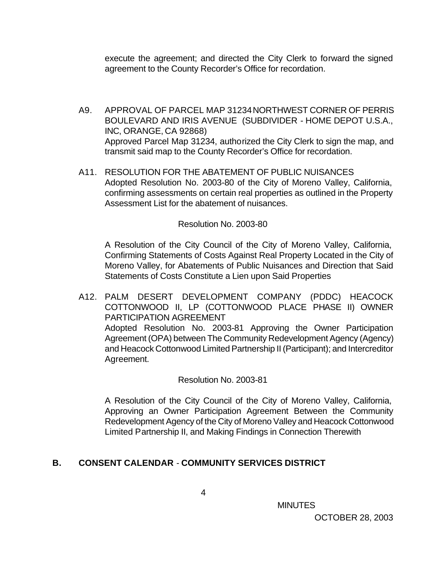execute the agreement; and directed the City Clerk to forward the signed agreement to the County Recorder's Office for recordation.

- A9. APPROVAL OF PARCEL MAP 31234 NORTHWEST CORNER OF PERRIS BOULEVARD AND IRIS AVENUE (SUBDIVIDER - HOME DEPOT U.S.A., INC, ORANGE, CA 92868) Approved Parcel Map 31234, authorized the City Clerk to sign the map, and transmit said map to the County Recorder's Office for recordation.
- A11. RESOLUTION FOR THE ABATEMENT OF PUBLIC NUISANCES Adopted Resolution No. 2003-80 of the City of Moreno Valley, California, confirming assessments on certain real properties as outlined in the Property Assessment List for the abatement of nuisances.

#### Resolution No. 2003-80

A Resolution of the City Council of the City of Moreno Valley, California, Confirming Statements of Costs Against Real Property Located in the City of Moreno Valley, for Abatements of Public Nuisances and Direction that Said Statements of Costs Constitute a Lien upon Said Properties

A12. PALM DESERT DEVELOPMENT COMPANY (PDDC) HEACOCK COTTONWOOD II, LP (COTTONWOOD PLACE PHASE II) OWNER PARTICIPATION AGREEMENT Adopted Resolution No. 2003-81 Approving the Owner Participation Agreement (OPA) between The Community Redevelopment Agency (Agency) and Heacock Cottonwood Limited Partnership II (Participant); and Intercreditor Agreement.

#### Resolution No. 2003-81

A Resolution of the City Council of the City of Moreno Valley, California, Approving an Owner Participation Agreement Between the Community Redevelopment Agency of the City of Moreno Valley and Heacock Cottonwood Limited Partnership II, and Making Findings in Connection Therewith

### **B. CONSENT CALENDAR** - **COMMUNITY SERVICES DISTRICT**

 MINUTES OCTOBER 28, 2003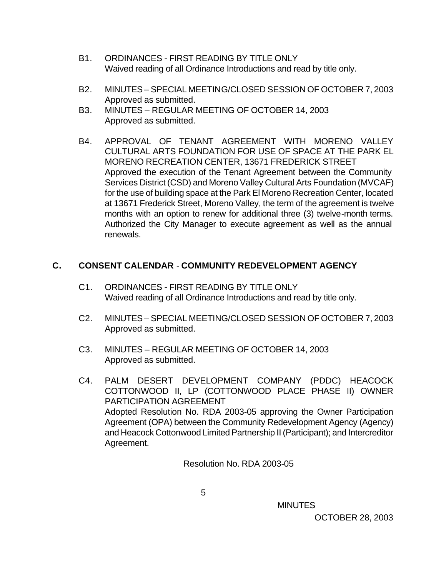- B1. ORDINANCES FIRST READING BY TITLE ONLY Waived reading of all Ordinance Introductions and read by title only.
- B2. MINUTES SPECIAL MEETING/CLOSED SESSION OF OCTOBER 7, 2003 Approved as submitted.
- B3. MINUTES REGULAR MEETING OF OCTOBER 14, 2003 Approved as submitted.
- B4. APPROVAL OF TENANT AGREEMENT WITH MORENO VALLEY CULTURAL ARTS FOUNDATION FOR USE OF SPACE AT THE PARK EL MORENO RECREATION CENTER, 13671 FREDERICK STREET Approved the execution of the Tenant Agreement between the Community Services District (CSD) and Moreno Valley Cultural Arts Foundation (MVCAF) for the use of building space at the Park El Moreno Recreation Center, located at 13671 Frederick Street, Moreno Valley, the term of the agreement is twelve months with an option to renew for additional three (3) twelve-month terms. Authorized the City Manager to execute agreement as well as the annual renewals.

## **C. CONSENT CALENDAR** - **COMMUNITY REDEVELOPMENT AGENCY**

- C1. ORDINANCES FIRST READING BY TITLE ONLY Waived reading of all Ordinance Introductions and read by title only.
- C2. MINUTES SPECIAL MEETING/CLOSED SESSION OF OCTOBER 7, 2003 Approved as submitted.
- C3. MINUTES REGULAR MEETING OF OCTOBER 14, 2003 Approved as submitted.
- C4. PALM DESERT DEVELOPMENT COMPANY (PDDC) HEACOCK COTTONWOOD II, LP (COTTONWOOD PLACE PHASE II) OWNER PARTICIPATION AGREEMENT Adopted Resolution No. RDA 2003-05 approving the Owner Participation Agreement (OPA) between the Community Redevelopment Agency (Agency) and Heacock Cottonwood Limited Partnership II (Participant); and Intercreditor Agreement.

Resolution No. RDA 2003-05

 $\sim$  5

**MINUTES**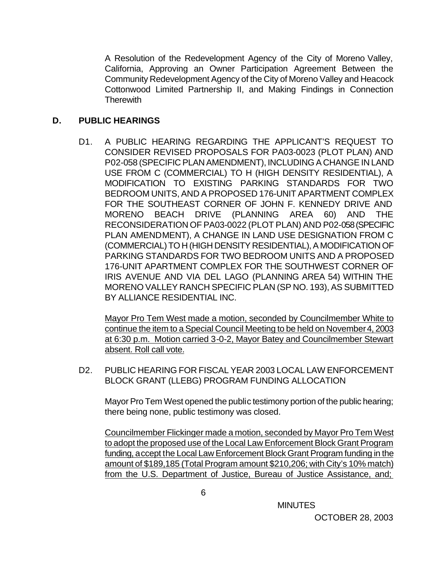A Resolution of the Redevelopment Agency of the City of Moreno Valley, California, Approving an Owner Participation Agreement Between the Community Redevelopment Agency of the City of Moreno Valley and Heacock Cottonwood Limited Partnership II, and Making Findings in Connection **Therewith** 

### **D. PUBLIC HEARINGS**

D1. A PUBLIC HEARING REGARDING THE APPLICANT'S REQUEST TO CONSIDER REVISED PROPOSALS FOR PA03-0023 (PLOT PLAN) AND P02-058 (SPECIFIC PLAN AMENDMENT), INCLUDING A CHANGE IN LAND USE FROM C (COMMERCIAL) TO H (HIGH DENSITY RESIDENTIAL), A MODIFICATION TO EXISTING PARKING STANDARDS FOR TWO BEDROOM UNITS, AND A PROPOSED 176-UNIT APARTMENT COMPLEX FOR THE SOUTHEAST CORNER OF JOHN F. KENNEDY DRIVE AND MORENO BEACH DRIVE (PLANNING AREA 60) AND THE RECONSIDERATION OF PA03-0022 (PLOT PLAN) AND P02-058 (SPECIFIC PLAN AMENDMENT), A CHANGE IN LAND USE DESIGNATION FROM C (COMMERCIAL) TO H (HIGH DENSITY RESIDENTIAL), A MODIFICATION OF PARKING STANDARDS FOR TWO BEDROOM UNITS AND A PROPOSED 176-UNIT APARTMENT COMPLEX FOR THE SOUTHWEST CORNER OF IRIS AVENUE AND VIA DEL LAGO (PLANNING AREA 54) WITHIN THE MORENO VALLEY RANCH SPECIFIC PLAN (SP NO. 193), AS SUBMITTED BY ALLIANCE RESIDENTIAL INC.

Mayor Pro Tem West made a motion, seconded by Councilmember White to continue the item to a Special Council Meeting to be held on November 4, 2003 at 6:30 p.m. Motion carried 3-0-2, Mayor Batey and Councilmember Stewart absent. Roll call vote.

D2. PUBLIC HEARING FOR FISCAL YEAR 2003 LOCAL LAW ENFORCEMENT BLOCK GRANT (LLEBG) PROGRAM FUNDING ALLOCATION

Mayor Pro Tem West opened the public testimony portion of the public hearing; there being none, public testimony was closed.

Councilmember Flickinger made a motion, seconded by Mayor Pro Tem West to adopt the proposed use of the Local Law Enforcement Block Grant Program funding, accept the Local Law Enforcement Block Grant Program funding in the amount of \$189,185 (Total Program amount \$210,206; with City's 10% match) from the U.S. Department of Justice, Bureau of Justice Assistance, and;

**MINUTES**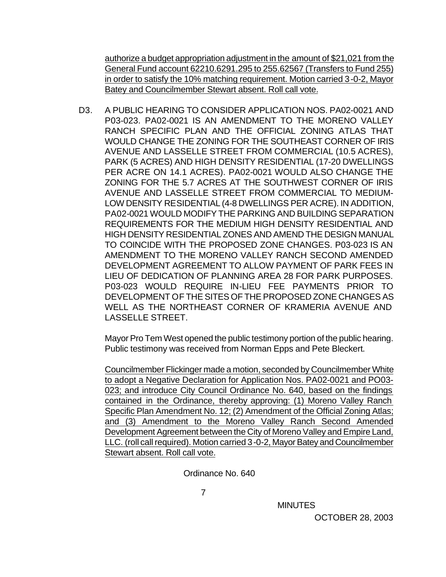authorize a budget appropriation adjustment in the amount of \$21,021 from the General Fund account 62210.6291.295 to 255.62567 (Transfers to Fund 255) in order to satisfy the 10% matching requirement. Motion carried 3-0-2, Mayor Batey and Councilmember Stewart absent. Roll call vote.

D3. A PUBLIC HEARING TO CONSIDER APPLICATION NOS. PA02-0021 AND P03-023. PA02-0021 IS AN AMENDMENT TO THE MORENO VALLEY RANCH SPECIFIC PLAN AND THE OFFICIAL ZONING ATLAS THAT WOULD CHANGE THE ZONING FOR THE SOUTHEAST CORNER OF IRIS AVENUE AND LASSELLE STREET FROM COMMERCIAL (10.5 ACRES), PARK (5 ACRES) AND HIGH DENSITY RESIDENTIAL (17-20 DWELLINGS PER ACRE ON 14.1 ACRES). PA02-0021 WOULD ALSO CHANGE THE ZONING FOR THE 5.7 ACRES AT THE SOUTHWEST CORNER OF IRIS AVENUE AND LASSELLE STREET FROM COMMERCIAL TO MEDIUM-LOW DENSITY RESIDENTIAL (4-8 DWELLINGS PER ACRE). IN ADDITION, PA02-0021 WOULD MODIFY THE PARKING AND BUILDING SEPARATION REQUIREMENTS FOR THE MEDIUM HIGH DENSITY RESIDENTIAL AND HIGH DENSITY RESIDENTIAL ZONES AND AMEND THE DESIGN MANUAL TO COINCIDE WITH THE PROPOSED ZONE CHANGES. P03-023 IS AN AMENDMENT TO THE MORENO VALLEY RANCH SECOND AMENDED DEVELOPMENT AGREEMENT TO ALLOW PAYMENT OF PARK FEES IN LIEU OF DEDICATION OF PLANNING AREA 28 FOR PARK PURPOSES. P03-023 WOULD REQUIRE IN-LIEU FEE PAYMENTS PRIOR TO DEVELOPMENT OF THE SITES OF THE PROPOSED ZONE CHANGES AS WELL AS THE NORTHEAST CORNER OF KRAMERIA AVENUE AND LASSELLE STREET.

Mayor Pro Tem West opened the public testimony portion of the public hearing. Public testimony was received from Norman Epps and Pete Bleckert.

Councilmember Flickinger made a motion, seconded by Councilmember White to adopt a Negative Declaration for Application Nos. PA02-0021 and PO03- 023; and introduce City Council Ordinance No. 640, based on the findings contained in the Ordinance, thereby approving: (1) Moreno Valley Ranch Specific Plan Amendment No. 12; (2) Amendment of the Official Zoning Atlas; and (3) Amendment to the Moreno Valley Ranch Second Amended Development Agreement between the City of Moreno Valley and Empire Land, LLC. (roll call required). Motion carried 3-0-2, Mayor Batey and Councilmember Stewart absent. Roll call vote.

Ordinance No. 640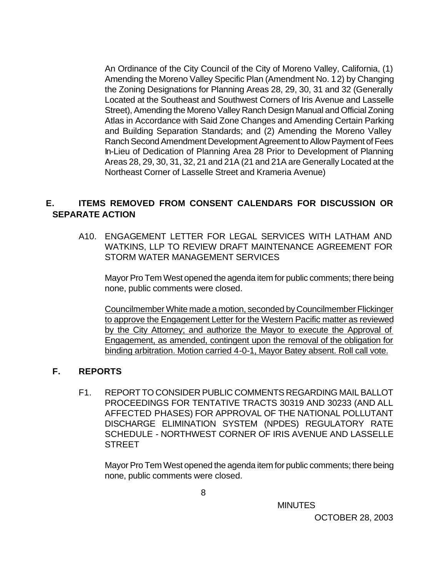An Ordinance of the City Council of the City of Moreno Valley, California, (1) Amending the Moreno Valley Specific Plan (Amendment No. 12) by Changing the Zoning Designations for Planning Areas 28, 29, 30, 31 and 32 (Generally Located at the Southeast and Southwest Corners of Iris Avenue and Lasselle Street), Amending the Moreno Valley Ranch Design Manual and Official Zoning Atlas in Accordance with Said Zone Changes and Amending Certain Parking and Building Separation Standards; and (2) Amending the Moreno Valley Ranch Second Amendment Development Agreement to Allow Payment of Fees In-Lieu of Dedication of Planning Area 28 Prior to Development of Planning Areas 28, 29, 30, 31, 32, 21 and 21A (21 and 21A are Generally Located at the Northeast Corner of Lasselle Street and Krameria Avenue)

## **E. ITEMS REMOVED FROM CONSENT CALENDARS FOR DISCUSSION OR SEPARATE ACTION**

A10. ENGAGEMENT LETTER FOR LEGAL SERVICES WITH LATHAM AND WATKINS, LLP TO REVIEW DRAFT MAINTENANCE AGREEMENT FOR STORM WATER MANAGEMENT SERVICES

Mayor Pro Tem West opened the agenda item for public comments; there being none, public comments were closed.

Councilmember White made a motion, seconded by Councilmember Flickinger to approve the Engagement Letter for the Western Pacific matter as reviewed by the City Attorney; and authorize the Mayor to execute the Approval of Engagement, as amended, contingent upon the removal of the obligation for binding arbitration. Motion carried 4-0-1, Mayor Batey absent. Roll call vote.

### **F. REPORTS**

F1. REPORT TO CONSIDER PUBLIC COMMENTS REGARDING MAIL BALLOT PROCEEDINGS FOR TENTATIVE TRACTS 30319 AND 30233 (AND ALL AFFECTED PHASES) FOR APPROVAL OF THE NATIONAL POLLUTANT DISCHARGE ELIMINATION SYSTEM (NPDES) REGULATORY RATE SCHEDULE - NORTHWEST CORNER OF IRIS AVENUE AND LASSELLE **STREET** 

Mayor Pro Tem West opened the agenda item for public comments; there being none, public comments were closed.

**MINUTES**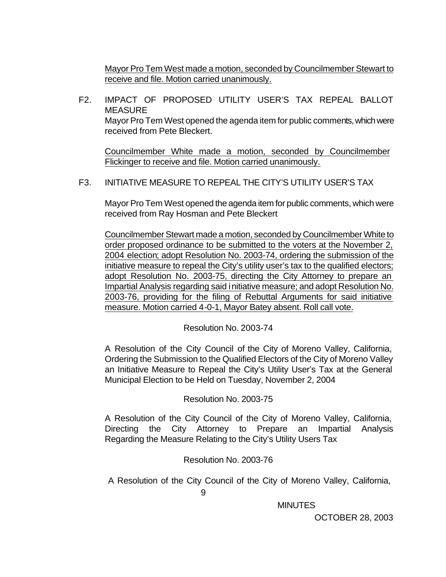Mayor Pro Tem West made a motion, seconded by Councilmember Stewart to receive and file. Motion carried unanimously.

F2. IMPACT OF PROPOSED UTILITY USER'S TAX REPEAL BALLOT **MEASURE** Mayor Pro Tem West opened the agenda item for public comments, which were received from Pete Bleckert.

Councilmember White made a motion, seconded by Councilmember Flickinger to receive and file. Motion carried unanimously.

F3. INITIATIVE MEASURE TO REPEAL THE CITY'S UTILITY USER'S TAX

Mayor Pro Tem West opened the agenda item for public comments, which were received from Ray Hosman and Pete Bleckert

Councilmember Stewart made a motion, seconded by Councilmember White to order proposed ordinance to be submitted to the voters at the November 2, 2004 election; adopt Resolution No. 2003-74, ordering the submission of the initiative measure to repeal the City's utility user's tax to the qualified electors; adopt Resolution No. 2003-75, directing the City Attorney to prepare an Impartial Analysis regarding said initiative measure; and adopt Resolution No. 2003-76, providing for the filing of Rebuttal Arguments for said initiative measure. Motion carried 4-0-1, Mayor Batey absent. Roll call vote.

Resolution No. 2003-74

A Resolution of the City Council of the City of Moreno Valley, California, Ordering the Submission to the Qualified Electors of the City of Moreno Valley an Initiative Measure to Repeal the City's Utility User's Tax at the General Municipal Election to be Held on Tuesday, November 2, 2004

Resolution No. 2003-75

 A Resolution of the City Council of the City of Moreno Valley, California, Directing the City Attorney to Prepare an Impartial Analysis Regarding the Measure Relating to the City's Utility Users Tax

Resolution No. 2003-76

A Resolution of the City Council of the City of Moreno Valley, California,

**MINUTES**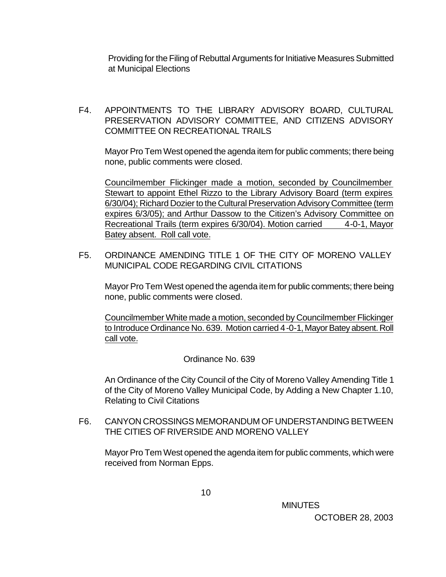Providing for the Filing of Rebuttal Arguments for Initiative Measures Submitted at Municipal Elections

F4. APPOINTMENTS TO THE LIBRARY ADVISORY BOARD, CULTURAL PRESERVATION ADVISORY COMMITTEE, AND CITIZENS ADVISORY COMMITTEE ON RECREATIONAL TRAILS

Mayor Pro Tem West opened the agenda item for public comments; there being none, public comments were closed.

Councilmember Flickinger made a motion, seconded by Councilmember Stewart to appoint Ethel Rizzo to the Library Advisory Board (term expires 6/30/04); Richard Dozier to the Cultural Preservation Advisory Committee (term expires 6/3/05); and Arthur Dassow to the Citizen's Advisory Committee on Recreational Trails (term expires 6/30/04). Motion carried 4-0-1, Mayor Batey absent. Roll call vote.

F5. ORDINANCE AMENDING TITLE 1 OF THE CITY OF MORENO VALLEY MUNICIPAL CODE REGARDING CIVIL CITATIONS

Mayor Pro Tem West opened the agenda item for public comments; there being none, public comments were closed.

Councilmember White made a motion, seconded by Councilmember Flickinger to Introduce Ordinance No. 639. Motion carried 4-0-1, Mayor Batey absent. Roll call vote.

### Ordinance No. 639

An Ordinance of the City Council of the City of Moreno Valley Amending Title 1 of the City of Moreno Valley Municipal Code, by Adding a New Chapter 1.10, Relating to Civil Citations

F6. CANYON CROSSINGS MEMORANDUM OF UNDERSTANDING BETWEEN THE CITIES OF RIVERSIDE AND MORENO VALLEY

Mayor Pro Tem West opened the agenda item for public comments, which were received from Norman Epps.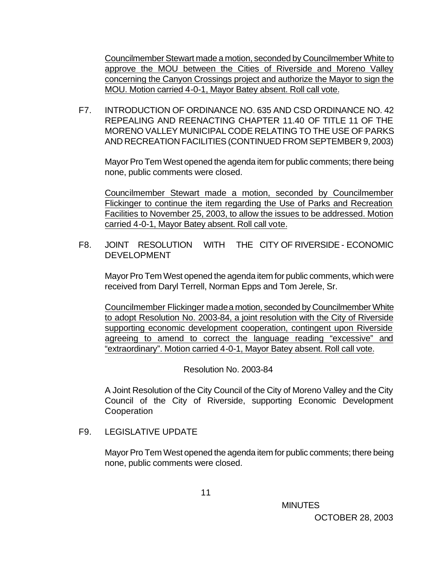Councilmember Stewart made a motion, seconded by Councilmember White to approve the MOU between the Cities of Riverside and Moreno Valley concerning the Canyon Crossings project and authorize the Mayor to sign the MOU. Motion carried 4-0-1, Mayor Batey absent. Roll call vote.

F7. INTRODUCTION OF ORDINANCE NO. 635 AND CSD ORDINANCE NO. 42 REPEALING AND REENACTING CHAPTER 11.40 OF TITLE 11 OF THE MORENO VALLEY MUNICIPAL CODE RELATING TO THE USE OF PARKS AND RECREATION FACILITIES (CONTINUED FROM SEPTEMBER 9, 2003)

Mayor Pro Tem West opened the agenda item for public comments; there being none, public comments were closed.

Councilmember Stewart made a motion, seconded by Councilmember Flickinger to continue the item regarding the Use of Parks and Recreation Facilities to November 25, 2003, to allow the issues to be addressed. Motion carried 4-0-1, Mayor Batey absent. Roll call vote.

F8. JOINT RESOLUTION WITH THE CITY OF RIVERSIDE - ECONOMIC DEVELOPMENT

Mayor Pro Tem West opened the agenda item for public comments, which were received from Daryl Terrell, Norman Epps and Tom Jerele, Sr.

Councilmember Flickinger made a motion, seconded by Councilmember White to adopt Resolution No. 2003-84, a joint resolution with the City of Riverside supporting economic development cooperation, contingent upon Riverside agreeing to amend to correct the language reading "excessive" and "extraordinary". Motion carried 4-0-1, Mayor Batey absent. Roll call vote.

Resolution No. 2003-84

A Joint Resolution of the City Council of the City of Moreno Valley and the City Council of the City of Riverside, supporting Economic Development **Cooperation** 

F9. LEGISLATIVE UPDATE

Mayor Pro Tem West opened the agenda item for public comments; there being none, public comments were closed.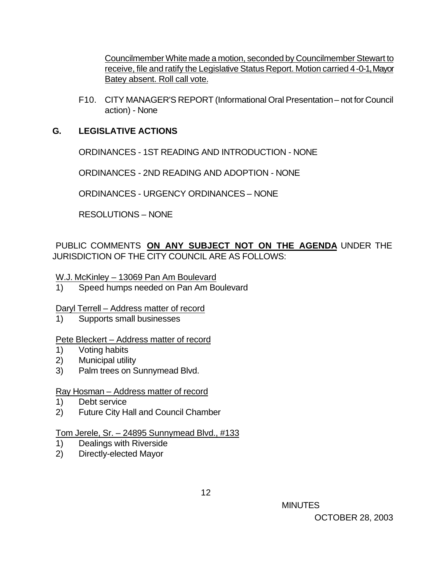Councilmember White made a motion, seconded by Councilmember Stewart to receive, file and ratify the Legislative Status Report. Motion carried 4-0-1, Mayor Batey absent. Roll call vote.

F10. CITY MANAGER'S REPORT (Informational Oral Presentation – not for Council action) - None

#### **G. LEGISLATIVE ACTIONS**

ORDINANCES - 1ST READING AND INTRODUCTION - NONE

ORDINANCES - 2ND READING AND ADOPTION - NONE

ORDINANCES - URGENCY ORDINANCES – NONE

RESOLUTIONS – NONE

PUBLIC COMMENTS **ON ANY SUBJECT NOT ON THE AGENDA** UNDER THE JURISDICTION OF THE CITY COUNCIL ARE AS FOLLOWS:

W.J. McKinley – 13069 Pan Am Boulevard

1) Speed humps needed on Pan Am Boulevard

Daryl Terrell – Address matter of record

1) Supports small businesses

#### Pete Bleckert – Address matter of record

- 1) Voting habits
- 2) Municipal utility
- 3) Palm trees on Sunnymead Blvd.

#### Ray Hosman – Address matter of record

- 1) Debt service
- 2) Future City Hall and Council Chamber

### Tom Jerele, Sr. – 24895 Sunnymead Blvd., #133

- 1) Dealings with Riverside
- 2) Directly-elected Mayor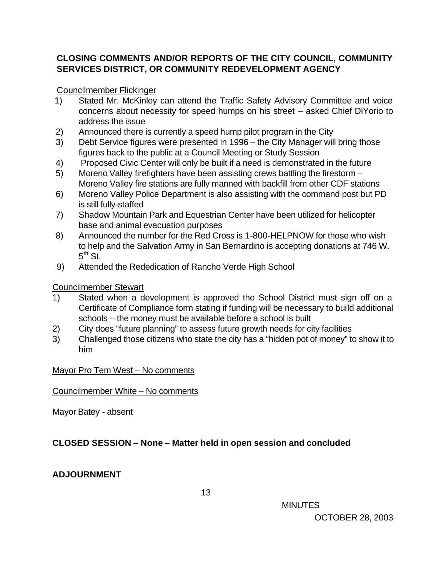## **CLOSING COMMENTS AND/OR REPORTS OF THE CITY COUNCIL, COMMUNITY SERVICES DISTRICT, OR COMMUNITY REDEVELOPMENT AGENCY**

## Councilmember Flickinger

- 1) Stated Mr. McKinley can attend the Traffic Safety Advisory Committee and voice concerns about necessity for speed humps on his street – asked Chief DiYorio to address the issue
- 2) Announced there is currently a speed hump pilot program in the City
- 3) Debt Service figures were presented in 1996 the City Manager will bring those figures back to the public at a Council Meeting or Study Session
- 4) Proposed Civic Center will only be built if a need is demonstrated in the future
- 5) Moreno Valley firefighters have been assisting crews battling the firestorm Moreno Valley fire stations are fully manned with backfill from other CDF stations
- 6) Moreno Valley Police Department is also assisting with the command post but PD is still fully-staffed
- 7) Shadow Mountain Park and Equestrian Center have been utilized for helicopter base and animal evacuation purposes
- 8) Announced the number for the Red Cross is 1-800-HELPNOW for those who wish to help and the Salvation Army in San Bernardino is accepting donations at 746 W.  $5^{\text{th}}$  St.
- 9) Attended the Rededication of Rancho Verde High School

## Councilmember Stewart

- 1) Stated when a development is approved the School District must sign off on a Certificate of Compliance form stating if funding will be necessary to build additional schools – the money must be available before a school is built
- 2) City does "future planning" to assess future growth needs for city facilities
- 3) Challenged those citizens who state the city has a "hidden pot of money" to show it to him

Mayor Pro Tem West – No comments

### Councilmember White – No comments

Mayor Batey - absent

# **CLOSED SESSION – None – Matter held in open session and concluded**

# **ADJOURNMENT**